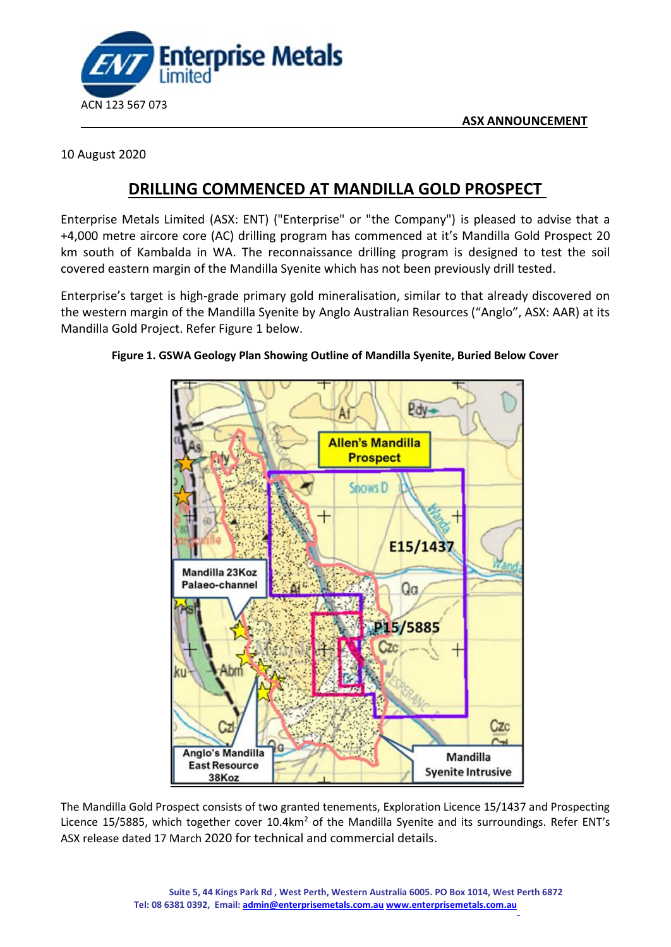

10 August 2020

## **DRILLING COMMENCED AT MANDILLA GOLD PROSPECT**

Enterprise Metals Limited (ASX: ENT) ("Enterprise" or "the Company") is pleased to advise that a +4,000 metre aircore core (AC) drilling program has commenced at it's Mandilla Gold Prospect 20 km south of Kambalda in WA. The reconnaissance drilling program is designed to test the soil covered eastern margin of the Mandilla Syenite which has not been previously drill tested.

Enterprise's target is high-grade primary gold mineralisation, similar to that already discovered on the western margin of the Mandilla Syenite by Anglo Australian Resources ("Anglo", ASX: AAR) at its Mandilla Gold Project. Refer Figure 1 below.



## **Figure 1. GSWA Geology Plan Showing Outline of Mandilla Syenite, Buried Below Cover**

The Mandilla Gold Prospect consists of two granted tenements, Exploration Licence 15/1437 and Prospecting Licence 15/5885, which together cover 10.4km<sup>2</sup> of the Mandilla Syenite and its surroundings. Refer ENT's ASX release dated 17 March 2020 for technical and commercial details.